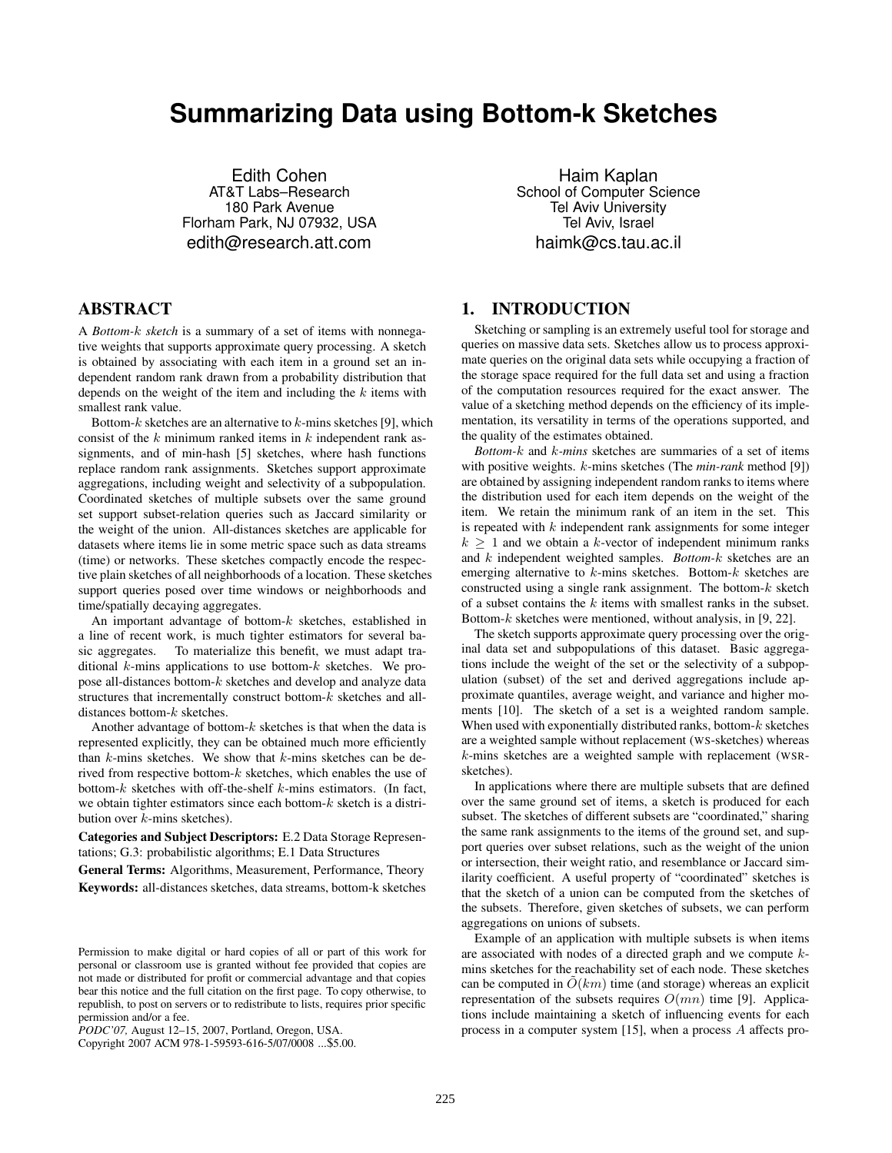# **Summarizing Data using Bottom-k Sketches**

Edith Cohen AT&T Labs–Research 180 Park Avenue Florham Park, NJ 07932, USA edith@research.att.com

Haim Kaplan School of Computer Science Tel Aviv University Tel Aviv, Israel haimk@cs.tau.ac.il

# **ABSTRACT**

A *Bottom-*k *sketch* is a summary of a set of items with nonnegative weights that supports approximate query processing. A sketch is obtained by associating with each item in a ground set an independent random rank drawn from a probability distribution that depends on the weight of the item and including the  $k$  items with smallest rank value.

Bottom- $k$  sketches are an alternative to  $k$ -mins sketches [9], which consist of the  $k$  minimum ranked items in  $k$  independent rank assignments, and of min-hash [5] sketches, where hash functions replace random rank assignments. Sketches support approximate aggregations, including weight and selectivity of a subpopulation. Coordinated sketches of multiple subsets over the same ground set support subset-relation queries such as Jaccard similarity or the weight of the union. All-distances sketches are applicable for datasets where items lie in some metric space such as data streams (time) or networks. These sketches compactly encode the respective plain sketches of all neighborhoods of a location. These sketches support queries posed over time windows or neighborhoods and time/spatially decaying aggregates.

An important advantage of bottom-k sketches, established in a line of recent work, is much tighter estimators for several basic aggregates. To materialize this benefit, we must adapt traditional  $k$ -mins applications to use bottom- $k$  sketches. We propose all-distances bottom-k sketches and develop and analyze data structures that incrementally construct bottom- $k$  sketches and alldistances bottom-k sketches.

Another advantage of bottom- $k$  sketches is that when the data is represented explicitly, they can be obtained much more efficiently than  $k$ -mins sketches. We show that  $k$ -mins sketches can be derived from respective bottom-k sketches, which enables the use of bottom- $k$  sketches with off-the-shelf  $k$ -mins estimators. (In fact, we obtain tighter estimators since each bottom- $k$  sketch is a distribution over  $k$ -mins sketches).

**Categories and Subject Descriptors:** E.2 Data Storage Representations; G.3: probabilistic algorithms; E.1 Data Structures

**General Terms:** Algorithms, Measurement, Performance, Theory **Keywords:** all-distances sketches, data streams, bottom-k sketches

# **1. INTRODUCTION**

Sketching or sampling is an extremely useful tool for storage and queries on massive data sets. Sketches allow us to process approximate queries on the original data sets while occupying a fraction of the storage space required for the full data set and using a fraction of the computation resources required for the exact answer. The value of a sketching method depends on the efficiency of its implementation, its versatility in terms of the operations supported, and the quality of the estimates obtained.

*Bottom-*k and k*-mins* sketches are summaries of a set of items with positive weights. k-mins sketches (The *min-rank* method [9]) are obtained by assigning independent random ranks to items where the distribution used for each item depends on the weight of the item. We retain the minimum rank of an item in the set. This is repeated with  $k$  independent rank assignments for some integer  $k \geq 1$  and we obtain a k-vector of independent minimum ranks and k independent weighted samples. *Bottom-*k sketches are an emerging alternative to  $k$ -mins sketches. Bottom- $k$  sketches are constructed using a single rank assignment. The bottom- $k$  sketch of a subset contains the  $k$  items with smallest ranks in the subset. Bottom-k sketches were mentioned, without analysis, in [9, 22].

The sketch supports approximate query processing over the original data set and subpopulations of this dataset. Basic aggregations include the weight of the set or the selectivity of a subpopulation (subset) of the set and derived aggregations include approximate quantiles, average weight, and variance and higher moments [10]. The sketch of a set is a weighted random sample. When used with exponentially distributed ranks, bottom- $k$  sketches are a weighted sample without replacement (WS-sketches) whereas k-mins sketches are a weighted sample with replacement (WSRsketches).

In applications where there are multiple subsets that are defined over the same ground set of items, a sketch is produced for each subset. The sketches of different subsets are "coordinated," sharing the same rank assignments to the items of the ground set, and support queries over subset relations, such as the weight of the union or intersection, their weight ratio, and resemblance or Jaccard similarity coefficient. A useful property of "coordinated" sketches is that the sketch of a union can be computed from the sketches of the subsets. Therefore, given sketches of subsets, we can perform aggregations on unions of subsets.

Example of an application with multiple subsets is when items are associated with nodes of a directed graph and we compute kmins sketches for the reachability set of each node. These sketches can be computed in  $O(km)$  time (and storage) whereas an explicit representation of the subsets requires  $O(mn)$  time [9]. Applications include maintaining a sketch of influencing events for each process in a computer system [15], when a process A affects pro-

Permission to make digital or hard copies of all or part of this work for personal or classroom use is granted without fee provided that copies are not made or distributed for profit or commercial advantage and that copies bear this notice and the full citation on the first page. To copy otherwise, to republish, to post on servers or to redistribute to lists, requires prior specific permission and/or a fee.

*PODC'07,* August 12–15, 2007, Portland, Oregon, USA.

Copyright 2007 ACM 978-1-59593-616-5/07/0008 ...\$5.00.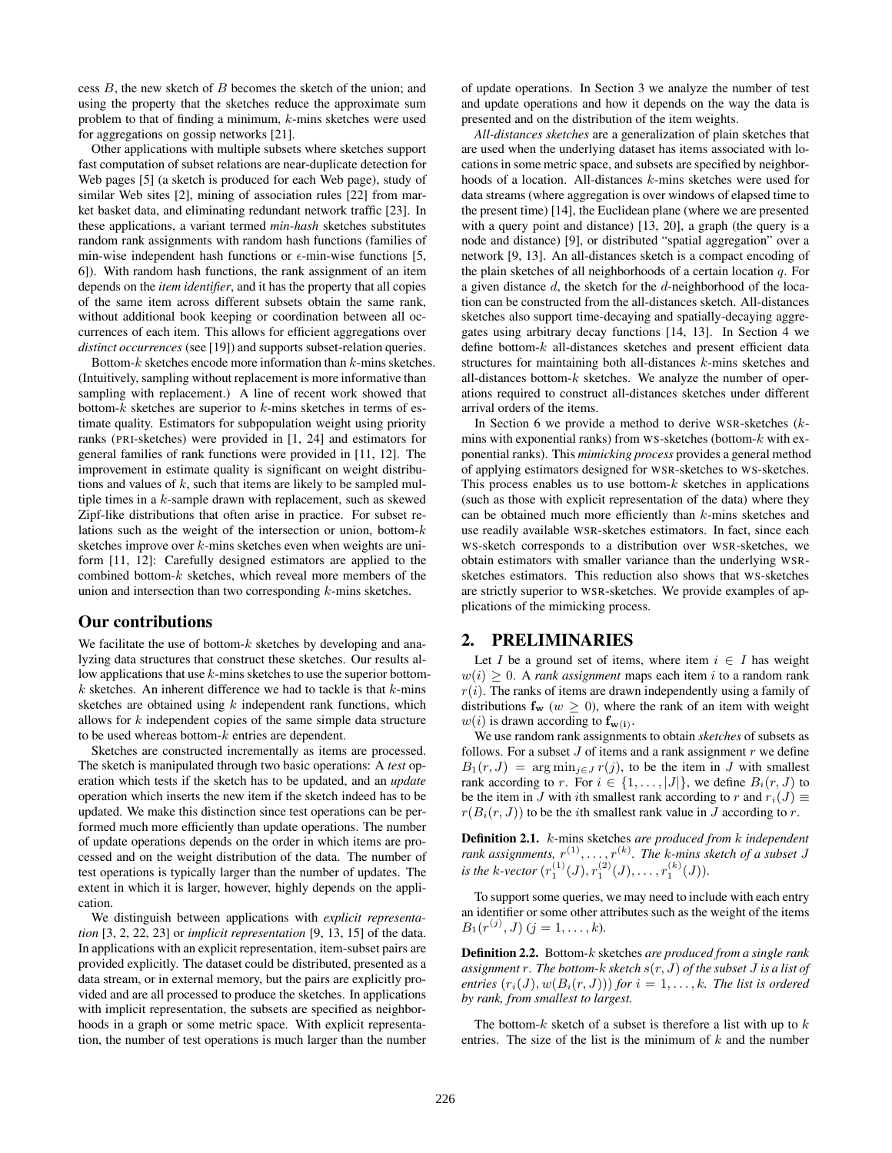cess B, the new sketch of B becomes the sketch of the union; and using the property that the sketches reduce the approximate sum problem to that of finding a minimum, k-mins sketches were used for aggregations on gossip networks [21].

Other applications with multiple subsets where sketches support fast computation of subset relations are near-duplicate detection for Web pages [5] (a sketch is produced for each Web page), study of similar Web sites [2], mining of association rules [22] from market basket data, and eliminating redundant network traffic [23]. In these applications, a variant termed *min-hash* sketches substitutes random rank assignments with random hash functions (families of min-wise independent hash functions or  $\epsilon$ -min-wise functions [5, 6]). With random hash functions, the rank assignment of an item depends on the *item identifier*, and it has the property that all copies of the same item across different subsets obtain the same rank, without additional book keeping or coordination between all occurrences of each item. This allows for efficient aggregations over *distinct occurrences* (see [19]) and supports subset-relation queries.

Bottom- $k$  sketches encode more information than  $k$ -mins sketches. (Intuitively, sampling without replacement is more informative than sampling with replacement.) A line of recent work showed that bottom- $k$  sketches are superior to  $k$ -mins sketches in terms of estimate quality. Estimators for subpopulation weight using priority ranks (PRI-sketches) were provided in [1, 24] and estimators for general families of rank functions were provided in [11, 12]. The improvement in estimate quality is significant on weight distributions and values of  $k$ , such that items are likely to be sampled multiple times in a k-sample drawn with replacement, such as skewed Zipf-like distributions that often arise in practice. For subset relations such as the weight of the intersection or union, bottom- $k$ sketches improve over  $k$ -mins sketches even when weights are uniform [11, 12]: Carefully designed estimators are applied to the combined bottom- $k$  sketches, which reveal more members of the union and intersection than two corresponding  $k$ -mins sketches.

#### **Our contributions**

We facilitate the use of bottom- $k$  sketches by developing and analyzing data structures that construct these sketches. Our results allow applications that use k-mins sketches to use the superior bottom $k$  sketches. An inherent difference we had to tackle is that  $k$ -mins sketches are obtained using  $k$  independent rank functions, which allows for  $k$  independent copies of the same simple data structure to be used whereas bottom- $k$  entries are dependent.

Sketches are constructed incrementally as items are processed. The sketch is manipulated through two basic operations: A *test* operation which tests if the sketch has to be updated, and an *update* operation which inserts the new item if the sketch indeed has to be updated. We make this distinction since test operations can be performed much more efficiently than update operations. The number of update operations depends on the order in which items are processed and on the weight distribution of the data. The number of test operations is typically larger than the number of updates. The extent in which it is larger, however, highly depends on the application.

We distinguish between applications with *explicit representation* [3, 2, 22, 23] or *implicit representation* [9, 13, 15] of the data. In applications with an explicit representation, item-subset pairs are provided explicitly. The dataset could be distributed, presented as a data stream, or in external memory, but the pairs are explicitly provided and are all processed to produce the sketches. In applications with implicit representation, the subsets are specified as neighborhoods in a graph or some metric space. With explicit representation, the number of test operations is much larger than the number

of update operations. In Section 3 we analyze the number of test and update operations and how it depends on the way the data is presented and on the distribution of the item weights.

*All-distances sketches* are a generalization of plain sketches that are used when the underlying dataset has items associated with locations in some metric space, and subsets are specified by neighborhoods of a location. All-distances k-mins sketches were used for data streams (where aggregation is over windows of elapsed time to the present time) [14], the Euclidean plane (where we are presented with a query point and distance) [13, 20], a graph (the query is a node and distance) [9], or distributed "spatial aggregation" over a network [9, 13]. An all-distances sketch is a compact encoding of the plain sketches of all neighborhoods of a certain location  $q$ . For a given distance d, the sketch for the d-neighborhood of the location can be constructed from the all-distances sketch. All-distances sketches also support time-decaying and spatially-decaying aggregates using arbitrary decay functions [14, 13]. In Section 4 we define bottom- $k$  all-distances sketches and present efficient data structures for maintaining both all-distances k-mins sketches and all-distances bottom- $k$  sketches. We analyze the number of operations required to construct all-distances sketches under different arrival orders of the items.

In Section 6 we provide a method to derive WSR-sketches (kmins with exponential ranks) from WS-sketches (bottom- $k$  with exponential ranks). This *mimicking process* provides a general method of applying estimators designed for WSR-sketches to WS-sketches. This process enables us to use bottom- $k$  sketches in applications (such as those with explicit representation of the data) where they can be obtained much more efficiently than k-mins sketches and use readily available WSR-sketches estimators. In fact, since each WS-sketch corresponds to a distribution over WSR-sketches, we obtain estimators with smaller variance than the underlying WSRsketches estimators. This reduction also shows that WS-sketches are strictly superior to WSR-sketches. We provide examples of applications of the mimicking process.

## **2. PRELIMINARIES**

Let I be a ground set of items, where item  $i \in I$  has weight  $w(i) \geq 0$ . A *rank assignment* maps each item *i* to a random rank  $r(i)$ . The ranks of items are drawn independently using a family of distributions  $f_w$  ( $w \ge 0$ ), where the rank of an item with weight  $w(i)$  is drawn according to  $f_{w(i)}$ .

We use random rank assignments to obtain *sketches* of subsets as follows. For a subset  $J$  of items and a rank assignment  $r$  we define  $B_1(r, J) = \arg \min_{j \in J} r(j)$ , to be the item in J with smallest rank according to r. For  $i \in \{1, \ldots, |J|\}$ , we define  $B_i(r, J)$  to be the item in J with ith smallest rank according to r and  $r_i(J) \equiv$  $r(B_i(r, J))$  to be the *i*th smallest rank value in J according to r.

**Definition 2.1.** k-mins sketches *are produced from* k *independent rank assignments,*  $r^{(1)}$ ,..., $r^{(k)}$ . The *k*-mins *sketch of a subset* J *is* the *k*-vector  $(r_1^{(1)}(J), r_1^{(2)}(J), \ldots, r_1^{(k)}(J))$ .

To support some queries, we may need to include with each entry an identifier or some other attributes such as the weight of the items  $B_1(r^{(j)}, J)$   $(j = 1, \ldots, k)$ .

**Definition 2.2.** Bottom-k sketches *are produced from a single rank assignment* r*. The bottom-*k *sketch* s(r, J) *of the subset* J *is a list of entries*  $(r_i(J), w(B_i(r, J)))$  *for*  $i = 1, \ldots, k$ *. The list is ordered by rank, from smallest to largest.*

The bottom- $k$  sketch of a subset is therefore a list with up to  $k$ entries. The size of the list is the minimum of  $k$  and the number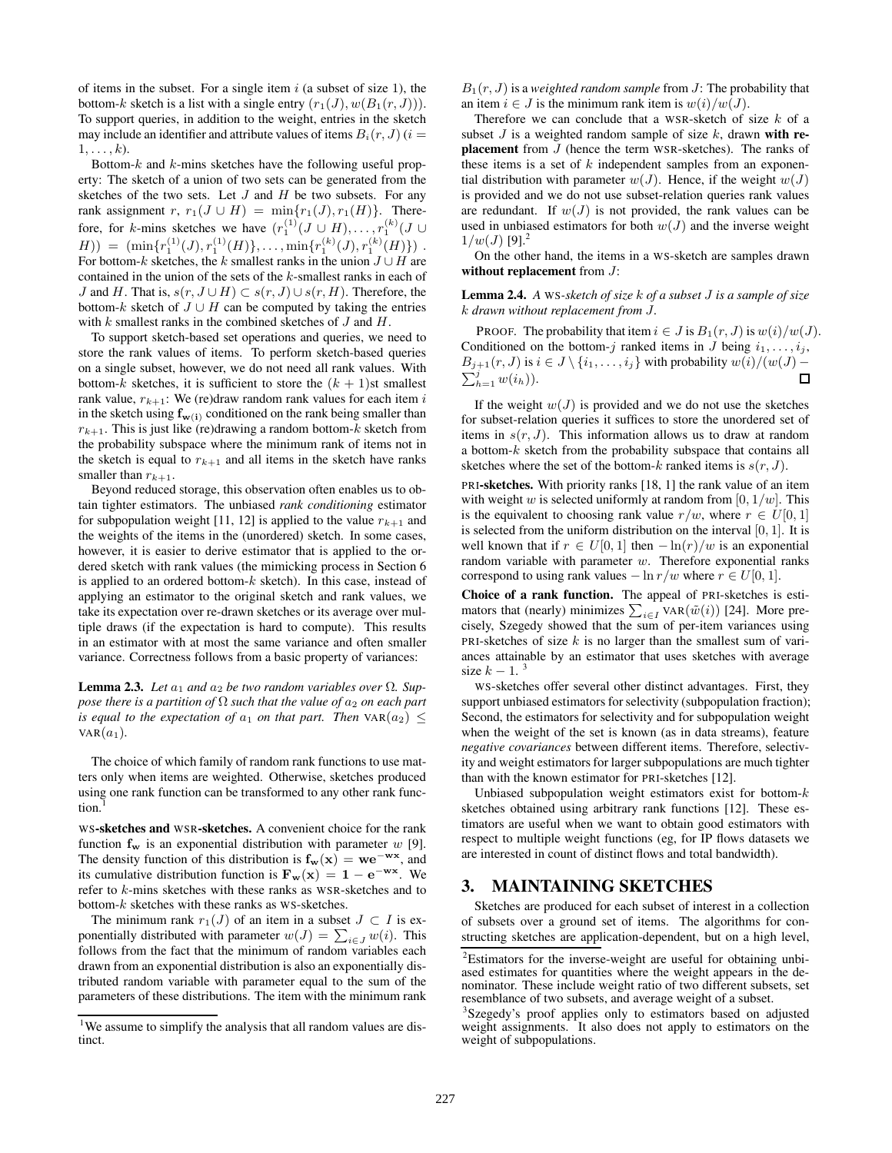of items in the subset. For a single item  $i$  (a subset of size 1), the bottom-k sketch is a list with a single entry  $(r_1(J), w(B_1(r, J))).$ To support queries, in addition to the weight, entries in the sketch may include an identifier and attribute values of items  $B_i(r, J)$  (i =  $1, \ldots, k$ ).

Bottom- $k$  and  $k$ -mins sketches have the following useful property: The sketch of a union of two sets can be generated from the sketches of the two sets. Let  $J$  and  $H$  be two subsets. For any rank assignment  $r$ ,  $r_1(J \cup H) = \min\{r_1(J), r_1(H)\}\$ . Therefore, for k-mins sketches we have  $(r_1^{(1)}(J \cup H), \ldots, r_1^{(k)}(J \cup$  $H(\mathcal{H}_1^{(1)}(J), r_1^{(1)}(H)), \ldots, \min\{r_1^{(k)}(J), r_1^{(k)}(H)\})$ . For bottom-k sketches, the k smallest ranks in the union  $J \cup H$  are contained in the union of the sets of the k-smallest ranks in each of J and H. That is,  $s(r, J \cup H) \subset s(r, J) \cup s(r, H)$ . Therefore, the bottom-k sketch of  $J \cup H$  can be computed by taking the entries with  $k$  smallest ranks in the combined sketches of  $J$  and  $H$ .

To support sketch-based set operations and queries, we need to store the rank values of items. To perform sketch-based queries on a single subset, however, we do not need all rank values. With bottom-k sketches, it is sufficient to store the  $(k + 1)$ st smallest rank value,  $r_{k+1}$ : We (re)draw random rank values for each item i in the sketch using  $f_{w(i)}$  conditioned on the rank being smaller than  $r_{k+1}$ . This is just like (re)drawing a random bottom-k sketch from the probability subspace where the minimum rank of items not in the sketch is equal to  $r_{k+1}$  and all items in the sketch have ranks smaller than  $r_{k+1}$ .

Beyond reduced storage, this observation often enables us to obtain tighter estimators. The unbiased *rank conditioning* estimator for subpopulation weight [11, 12] is applied to the value  $r_{k+1}$  and the weights of the items in the (unordered) sketch. In some cases, however, it is easier to derive estimator that is applied to the ordered sketch with rank values (the mimicking process in Section 6 is applied to an ordered bottom- $k$  sketch). In this case, instead of applying an estimator to the original sketch and rank values, we take its expectation over re-drawn sketches or its average over multiple draws (if the expectation is hard to compute). This results in an estimator with at most the same variance and often smaller variance. Correctness follows from a basic property of variances:

**Lemma 2.3.** *Let*  $a_1$  *and*  $a_2$  *be two random variables over*  $Ω$ *. Suppose there is a partition of* Ω *such that the value of* a<sup>2</sup> *on each part is* equal to the expectation of  $a_1$  on that part. Then  $VAR(a_2) \leq$  $VAR(a_1)$ .

The choice of which family of random rank functions to use matters only when items are weighted. Otherwise, sketches produced using one rank function can be transformed to any other rank function.

WS**-sketches and** WSR**-sketches.** A convenient choice for the rank function  $f_w$  is an exponential distribution with parameter  $w$  [9]. The density function of this distribution is  $f_w(x) = we^{-wx}$ , and its cumulative distribution function is  $\mathbf{F}_{\mathbf{w}}(\mathbf{x}) = 1 - e^{-\mathbf{w}\mathbf{x}}$ . We refer to k-mins sketches with these ranks as WSR-sketches and to bottom- $k$  sketches with these ranks as WS-sketches.

The minimum rank  $r_1(J)$  of an item in a subset  $J \subset I$  is exponentially distributed with parameter  $w(J) = \sum_{i \in J} w(i)$ . This follows from the fact that the minimum of random variables each drawn from an exponential distribution is also an exponentially distributed random variable with parameter equal to the sum of the parameters of these distributions. The item with the minimum rank

 $B_1(r, J)$  is a *weighted random sample* from J: The probability that an item  $i \in J$  is the minimum rank item is  $w(i)/w(J)$ .

Therefore we can conclude that a WSR-sketch of size  $k$  of a subset  $J$  is a weighted random sample of size  $k$ , drawn **with replacement** from J (hence the term WSR-sketches). The ranks of these items is a set of  $k$  independent samples from an exponential distribution with parameter  $w(J)$ . Hence, if the weight  $w(J)$ is provided and we do not use subset-relation queries rank values are redundant. If  $w(J)$  is not provided, the rank values can be used in unbiased estimators for both  $w(J)$  and the inverse weight  $1/w(J)$  [9].<sup>2</sup>

On the other hand, the items in a WS-sketch are samples drawn **without replacement** from J:

**Lemma 2.4.** *A* WS*-sketch of size* k *of a subset* J *is a sample of size* k *drawn without replacement from* J*.*

PROOF. The probability that item  $i \in J$  is  $B_1(r, J)$  is  $w(i)/w(J)$ . Conditioned on the bottom-j ranked items in J being  $i_1, \ldots, i_j$ ,  $B_{j+1}(r, J)$  is  $i \in J \setminus \{i_1, \ldots, i_j\}$  with probability  $w(i)/(w(J) \sum_{h=1}^j w(i_h)$ ).

If the weight  $w(J)$  is provided and we do not use the sketches for subset-relation queries it suffices to store the unordered set of items in  $s(r, J)$ . This information allows us to draw at random a bottom-k sketch from the probability subspace that contains all sketches where the set of the bottom-k ranked items is  $s(r, J)$ .

PRI**-sketches.** With priority ranks [18, 1] the rank value of an item with weight w is selected uniformly at random from [0,  $1/w$ ]. This is the equivalent to choosing rank value  $r/w$ , where  $r \in U[0, 1]$ is selected from the uniform distribution on the interval  $[0, 1]$ . It is well known that if  $r \in U[0, 1]$  then  $-\ln(r)/w$  is an exponential random variable with parameter  $w$ . Therefore exponential ranks correspond to using rank values  $-\ln r/w$  where  $r \in U[0, 1]$ .

**Choice of a rank function.** The appeal of PRI-sketches is estimators that (nearly) minimizes  $\sum_{i \in I} \text{VAR}(\tilde{w}(i))$  [24]. More precisely, Szegedy showed that the sum of per-item variances using PRI-sketches of size  $k$  is no larger than the smallest sum of variances attainable by an estimator that uses sketches with average size  $k-1$ .<sup>3</sup>

WS-sketches offer several other distinct advantages. First, they support unbiased estimators for selectivity (subpopulation fraction); Second, the estimators for selectivity and for subpopulation weight when the weight of the set is known (as in data streams), feature *negative covariances* between different items. Therefore, selectivity and weight estimators for larger subpopulations are much tighter than with the known estimator for PRI-sketches [12].

Unbiased subpopulation weight estimators exist for bottom- $k$ sketches obtained using arbitrary rank functions [12]. These estimators are useful when we want to obtain good estimators with respect to multiple weight functions (eg, for IP flows datasets we are interested in count of distinct flows and total bandwidth).

# **3. MAINTAINING SKETCHES**

Sketches are produced for each subset of interest in a collection of subsets over a ground set of items. The algorithms for constructing sketches are application-dependent, but on a high level,

<sup>&</sup>lt;sup>1</sup>We assume to simplify the analysis that all random values are distinct.

<sup>2</sup>Estimators for the inverse-weight are useful for obtaining unbiased estimates for quantities where the weight appears in the denominator. These include weight ratio of two different subsets, set resemblance of two subsets, and average weight of a subset.

<sup>&</sup>lt;sup>3</sup>Szegedy's proof applies only to estimators based on adjusted weight assignments. It also does not apply to estimators on the weight of subpopulations.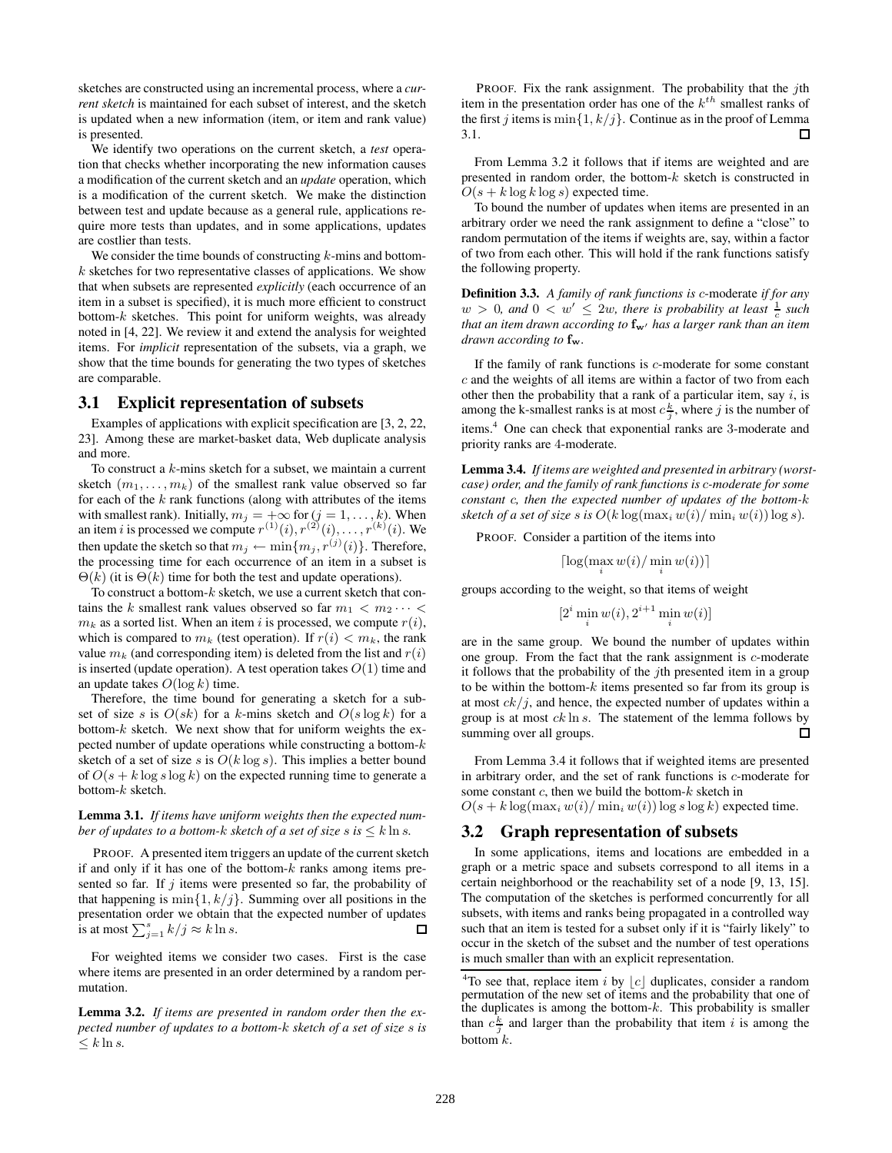sketches are constructed using an incremental process, where a *current sketch* is maintained for each subset of interest, and the sketch is updated when a new information (item, or item and rank value) is presented.

We identify two operations on the current sketch, a *test* operation that checks whether incorporating the new information causes a modification of the current sketch and an *update* operation, which is a modification of the current sketch. We make the distinction between test and update because as a general rule, applications require more tests than updates, and in some applications, updates are costlier than tests.

We consider the time bounds of constructing  $k$ -mins and bottom $k$  sketches for two representative classes of applications. We show that when subsets are represented *explicitly* (each occurrence of an item in a subset is specified), it is much more efficient to construct bottom- $k$  sketches. This point for uniform weights, was already noted in [4, 22]. We review it and extend the analysis for weighted items. For *implicit* representation of the subsets, via a graph, we show that the time bounds for generating the two types of sketches are comparable.

#### **3.1 Explicit representation of subsets**

Examples of applications with explicit specification are [3, 2, 22, 23]. Among these are market-basket data, Web duplicate analysis and more.

To construct a  $k$ -mins sketch for a subset, we maintain a current sketch  $(m_1, \ldots, m_k)$  of the smallest rank value observed so far for each of the  $k$  rank functions (along with attributes of the items with smallest rank). Initially,  $m_j = +\infty$  for  $(j = 1, \ldots, k)$ . When an item *i* is processed we compute  $r^{(1)}(i), r^{(2)}(i), \ldots, r^{(k)}(i)$ . We then update the sketch so that  $m_j \leftarrow \min\{m_j, r^{(j)}(i)\}$ . Therefore, the processing time for each occurrence of an item in a subset is  $\Theta(k)$  (it is  $\Theta(k)$  time for both the test and update operations).

To construct a bottom- $k$  sketch, we use a current sketch that contains the k smallest rank values observed so far  $m_1 < m_2 \cdots <$  $m_k$  as a sorted list. When an item i is processed, we compute  $r(i)$ , which is compared to  $m_k$  (test operation). If  $r(i) < m_k$ , the rank value  $m_k$  (and corresponding item) is deleted from the list and  $r(i)$ is inserted (update operation). A test operation takes  $O(1)$  time and an update takes  $O(\log k)$  time.

Therefore, the time bound for generating a sketch for a subset of size s is  $O(sk)$  for a k-mins sketch and  $O(s \log k)$  for a bottom- $k$  sketch. We next show that for uniform weights the expected number of update operations while constructing a bottom-k sketch of a set of size s is  $O(k \log s)$ . This implies a better bound of  $O(s + k \log s \log k)$  on the expected running time to generate a bottom-k sketch.

#### **Lemma 3.1.** *If items have uniform weights then the expected number of updates to a bottom-k sketch of a set of size s is*  $\leq$  *k*  $\ln s$ *.*

PROOF. A presented item triggers an update of the current sketch if and only if it has one of the bottom- $k$  ranks among items presented so far. If  $j$  items were presented so far, the probability of that happening is  $\min\{1, k/j\}$ . Summing over all positions in the presentation order we obtain that the expected number of updates is at most  $\sum_{j=1}^s k/j \approx k \ln s$ .  $\Box$ 

For weighted items we consider two cases. First is the case where items are presented in an order determined by a random permutation.

**Lemma 3.2.** *If items are presented in random order then the expected number of updates to a bottom-*k *sketch of a set of size* s *is*  $\langle k \ln s \rangle$ 

PROOF. Fix the rank assignment. The probability that the  $j$ th item in the presentation order has one of the  $k^{th}$  smallest ranks of the first *j* items is min $\{1, k/j\}$ . Continue as in the proof of Lemma 3.1. 3.1.

From Lemma 3.2 it follows that if items are weighted and are presented in random order, the bottom- $k$  sketch is constructed in  $O(s + k \log k \log s)$  expected time.

To bound the number of updates when items are presented in an arbitrary order we need the rank assignment to define a "close" to random permutation of the items if weights are, say, within a factor of two from each other. This will hold if the rank functions satisfy the following property.

**Definition 3.3.** *A family of rank functions is* c-moderate *if for any*  $w > 0$ , and  $0 < w' \leq 2w$ , there is probability at least  $\frac{1}{c}$  such *that an item drawn according to*  $f_w$  *has a larger rank than an item drawn according to* fw*.*

If the family of rank functions is c-moderate for some constant  $c$  and the weights of all items are within a factor of two from each other then the probability that a rank of a particular item, say  $i$ , is among the k-smallest ranks is at most  $c_{\overline{j}}^k$ , where j is the number of items.<sup>4</sup> One can check that exponential ranks are 3-moderate and priority ranks are 4-moderate.

**Lemma 3.4.** *If items are weighted and presented in arbitrary (worstcase) order, and the family of rank functions is* c*-moderate for some constant* c*, then the expected number of updates of the bottom-*k *sketch of a set of size s is*  $O(k \log(\max_i w(i) / \min_i w(i)) \log s)$ .

PROOF. Consider a partition of the items into

 $\left\lceil \log(\max_i w(i) / \min_i w(i)) \right\rceil$ 

groups according to the weight, so that items of weight

$$
[2^i \min_i w(i), 2^{i+1} \min_i w(i)]
$$

are in the same group. We bound the number of updates within one group. From the fact that the rank assignment is c-moderate it follows that the probability of the *j*th presented item in a group to be within the bottom- $k$  items presented so far from its group is at most  $ck/j$ , and hence, the expected number of updates within a group is at most  $ck \ln s$ . The statement of the lemma follows by summing over all groups. П

From Lemma 3.4 it follows that if weighted items are presented in arbitrary order, and the set of rank functions is c-moderate for some constant  $c$ , then we build the bottom- $k$  sketch in

 $O(s + k \log(\max_i w(i) / \min_i w(i)) \log s \log k)$  expected time.

#### **3.2 Graph representation of subsets**

In some applications, items and locations are embedded in a graph or a metric space and subsets correspond to all items in a certain neighborhood or the reachability set of a node [9, 13, 15]. The computation of the sketches is performed concurrently for all subsets, with items and ranks being propagated in a controlled way such that an item is tested for a subset only if it is "fairly likely" to occur in the sketch of the subset and the number of test operations is much smaller than with an explicit representation.

<sup>&</sup>lt;sup>4</sup>To see that, replace item i by  $\lfloor c \rfloor$  duplicates, consider a random permutation of the new set of items and the probability that one of the duplicates is among the bottom- $k$ . This probability is smaller than  $c_j^k$  and larger than the probability that item i is among the bottom  $k$ .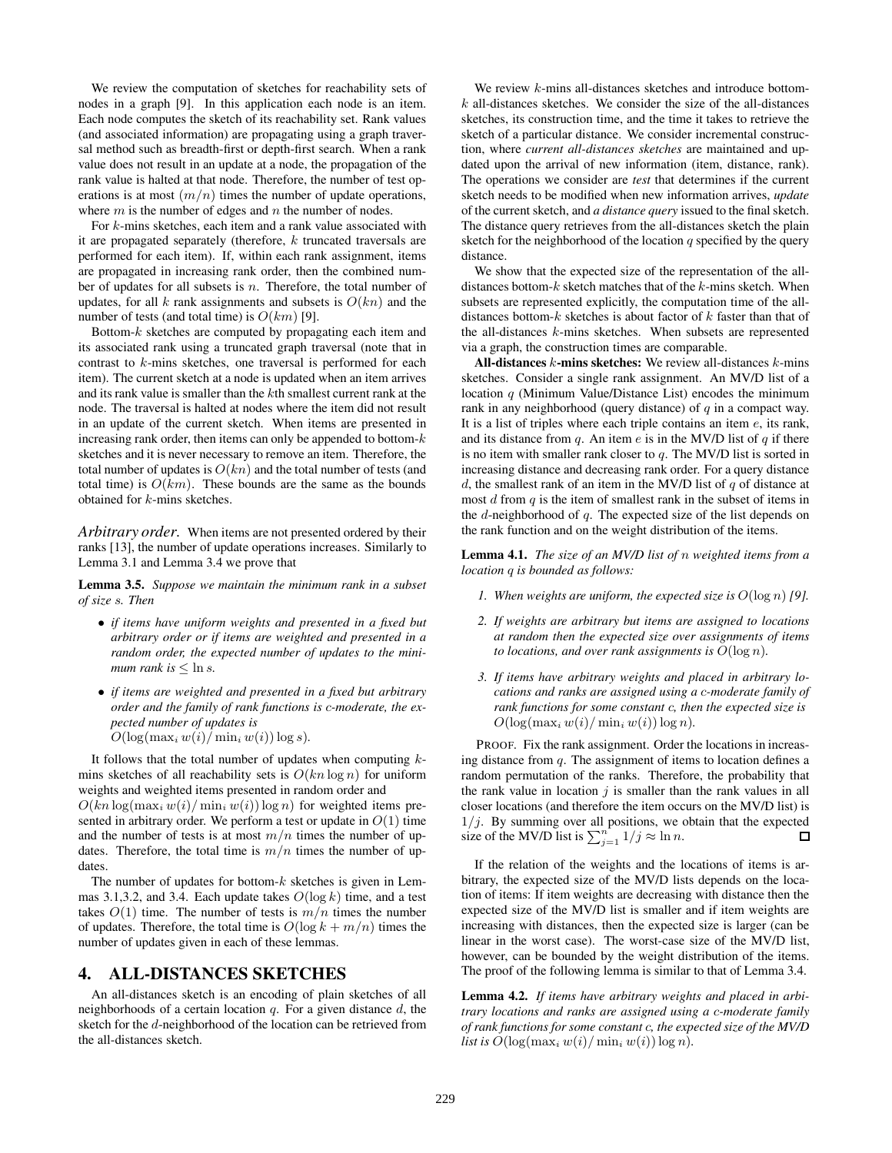We review the computation of sketches for reachability sets of nodes in a graph [9]. In this application each node is an item. Each node computes the sketch of its reachability set. Rank values (and associated information) are propagating using a graph traversal method such as breadth-first or depth-first search. When a rank value does not result in an update at a node, the propagation of the rank value is halted at that node. Therefore, the number of test operations is at most  $(m/n)$  times the number of update operations, where  $m$  is the number of edges and  $n$  the number of nodes.

For k-mins sketches, each item and a rank value associated with it are propagated separately (therefore,  $k$  truncated traversals are performed for each item). If, within each rank assignment, items are propagated in increasing rank order, then the combined number of updates for all subsets is  $n$ . Therefore, the total number of updates, for all k rank assignments and subsets is  $O(kn)$  and the number of tests (and total time) is  $O(km)$  [9].

Bottom- $k$  sketches are computed by propagating each item and its associated rank using a truncated graph traversal (note that in contrast to k-mins sketches, one traversal is performed for each item). The current sketch at a node is updated when an item arrives and its rank value is smaller than the kth smallest current rank at the node. The traversal is halted at nodes where the item did not result in an update of the current sketch. When items are presented in increasing rank order, then items can only be appended to bottom- $k$ sketches and it is never necessary to remove an item. Therefore, the total number of updates is  $O(kn)$  and the total number of tests (and total time) is  $O(km)$ . These bounds are the same as the bounds obtained for k-mins sketches.

*Arbitrary order.* When items are not presented ordered by their ranks [13], the number of update operations increases. Similarly to Lemma 3.1 and Lemma 3.4 we prove that

**Lemma 3.5.** *Suppose we maintain the minimum rank in a subset of size* s*. Then*

- *if items have uniform weights and presented in a fixed but arbitrary order or if items are weighted and presented in a random order, the expected number of updates to the minimum rank is*  $\leq \ln s$ .
- *if items are weighted and presented in a fixed but arbitrary order and the family of rank functions is* c*-moderate, the expected number of updates is*  $O(\log(\max_i w(i) / \min_i w(i)) \log s)$ .

It follows that the total number of updates when computing  $k$ mins sketches of all reachability sets is  $O(kn \log n)$  for uniform weights and weighted items presented in random order and

 $O(kn \log(\max_i w(i) / \min_i w(i)) \log n)$  for weighted items presented in arbitrary order. We perform a test or update in  $O(1)$  time and the number of tests is at most  $m/n$  times the number of updates. Therefore, the total time is  $m/n$  times the number of updates.

The number of updates for bottom- $k$  sketches is given in Lemmas 3.1,3.2, and 3.4. Each update takes  $O(\log k)$  time, and a test takes  $O(1)$  time. The number of tests is  $m/n$  times the number of updates. Therefore, the total time is  $O(\log k + m/n)$  times the number of updates given in each of these lemmas.

## **4. ALL-DISTANCES SKETCHES**

An all-distances sketch is an encoding of plain sketches of all neighborhoods of a certain location  $q$ . For a given distance  $d$ , the sketch for the d-neighborhood of the location can be retrieved from the all-distances sketch.

We review  $k$ -mins all-distances sketches and introduce bottom $k$  all-distances sketches. We consider the size of the all-distances sketches, its construction time, and the time it takes to retrieve the sketch of a particular distance. We consider incremental construction, where *current all-distances sketches* are maintained and updated upon the arrival of new information (item, distance, rank). The operations we consider are *test* that determines if the current sketch needs to be modified when new information arrives, *update* of the current sketch, and *a distance query* issued to the final sketch. The distance query retrieves from the all-distances sketch the plain sketch for the neighborhood of the location  $q$  specified by the query distance.

We show that the expected size of the representation of the alldistances bottom- $k$  sketch matches that of the  $k$ -mins sketch. When subsets are represented explicitly, the computation time of the alldistances bottom- $k$  sketches is about factor of  $k$  faster than that of the all-distances k-mins sketches. When subsets are represented via a graph, the construction times are comparable.

**All-distances** k**-mins sketches:** We review all-distances k-mins sketches. Consider a single rank assignment. An MV/D list of a location q (Minimum Value/Distance List) encodes the minimum rank in any neighborhood (query distance) of  $q$  in a compact way. It is a list of triples where each triple contains an item  $e$ , its rank, and its distance from  $q$ . An item  $e$  is in the MV/D list of  $q$  if there is no item with smaller rank closer to  $q$ . The MV/D list is sorted in increasing distance and decreasing rank order. For a query distance d, the smallest rank of an item in the MV/D list of  $q$  of distance at most  $d$  from  $q$  is the item of smallest rank in the subset of items in the  $d$ -neighborhood of  $q$ . The expected size of the list depends on the rank function and on the weight distribution of the items.

**Lemma 4.1.** *The size of an MV/D list of* n *weighted items from a location* q *is bounded as follows:*

- *1. When weights are uniform, the expected size is* O(log n) *[9].*
- *2. If weights are arbitrary but items are assigned to locations at random then the expected size over assignments of items to locations,* and *over rank assignments is*  $O(\log n)$ *.*
- *3. If items have arbitrary weights and placed in arbitrary locations and ranks are assigned using a* c*-moderate family of rank functions for some constant* c*, then the expected size is*  $O(\log(\max_i w(i) / \min_i w(i)) \log n)$ .

PROOF. Fix the rank assignment. Order the locations in increasing distance from  $q$ . The assignment of items to location defines a random permutation of the ranks. Therefore, the probability that the rank value in location  $j$  is smaller than the rank values in all closer locations (and therefore the item occurs on the MV/D list) is  $1/j$ . By summing over all positions, we obtain that the expected size of the MV/D list is  $\sum_{j=1}^{n} 1/j \approx \ln n$ .

If the relation of the weights and the locations of items is arbitrary, the expected size of the MV/D lists depends on the location of items: If item weights are decreasing with distance then the expected size of the MV/D list is smaller and if item weights are increasing with distances, then the expected size is larger (can be linear in the worst case). The worst-case size of the MV/D list, however, can be bounded by the weight distribution of the items. The proof of the following lemma is similar to that of Lemma 3.4.

**Lemma 4.2.** *If items have arbitrary weights and placed in arbitrary locations and ranks are assigned using a* c*-moderate family of rank functions for some constant* c*, the expected size of the MV/D list* is  $O(\log(\max_i w(i) / \min_i w(i)) \log n)$ .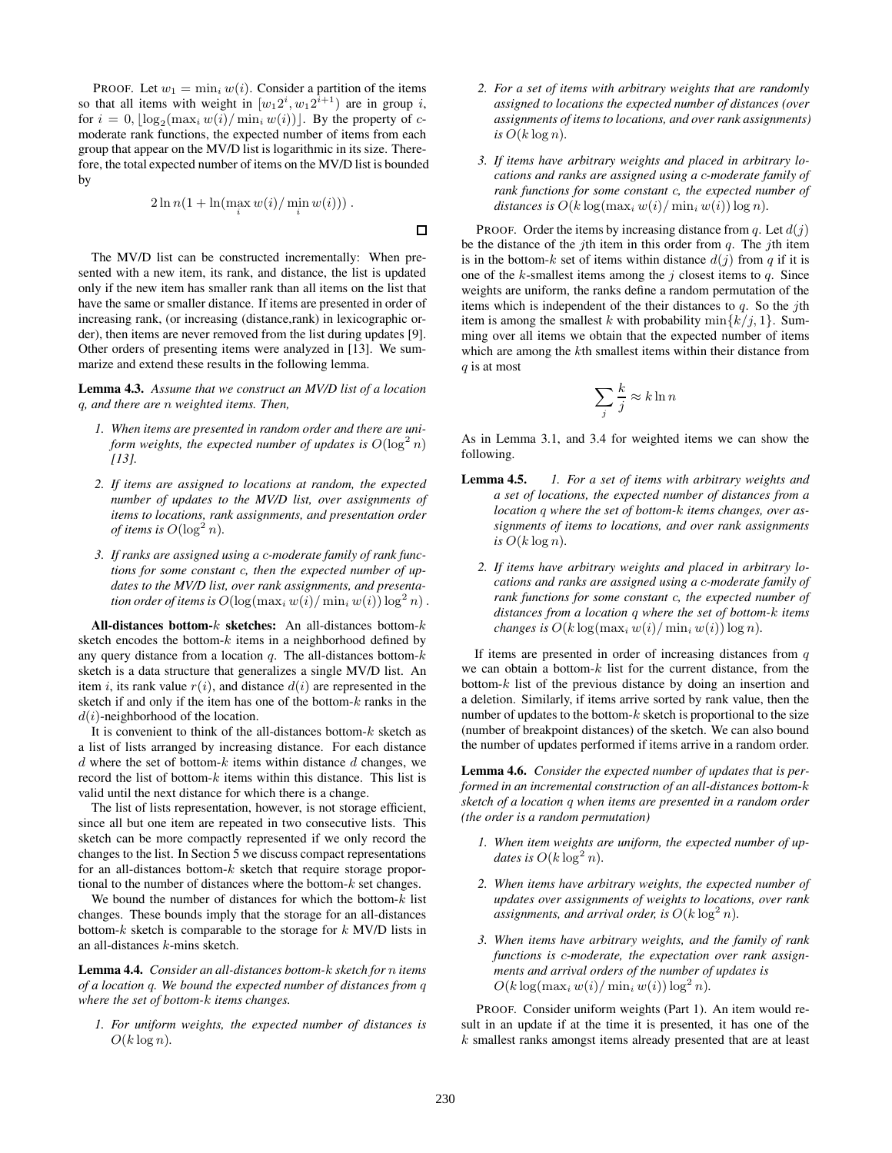PROOF. Let  $w_1 = \min_i w(i)$ . Consider a partition of the items so that all items with weight in  $[w_1 2^i, w_1 2^{i+1})$  are in group i, for  $i = 0$ ,  $\lfloor \log_2(\max_i w(i) / \min_i w(i)) \rfloor$ . By the property of cmoderate rank functions, the expected number of items from each group that appear on the MV/D list is logarithmic in its size. Therefore, the total expected number of items on the MV/D list is bounded by

$$
2\ln n(1+\ln(\max_i w(i)/\min_i w(i)))
$$
.

 $\Box$ 

The MV/D list can be constructed incrementally: When presented with a new item, its rank, and distance, the list is updated only if the new item has smaller rank than all items on the list that have the same or smaller distance. If items are presented in order of increasing rank, (or increasing (distance,rank) in lexicographic order), then items are never removed from the list during updates [9]. Other orders of presenting items were analyzed in [13]. We summarize and extend these results in the following lemma.

**Lemma 4.3.** *Assume that we construct an MV/D list of a location* q*, and there are* n *weighted items. Then,*

- *1. When items are presented in random order and there are uniform* weights, the expected number of updates is  $O(\log^2 n)$ *[13].*
- *2. If items are assigned to locations at random, the expected number of updates to the MV/D list, over assignments of items to locations, rank assignments, and presentation order of items is*  $O(\log^2 n)$ *.*
- *3. If ranks are assigned using a* c*-moderate family of rank functions for some constant* c*, then the expected number of updates to the MV/D list, over rank assignments, and presentation order of items is*  $O(\log(\max_i w(i) / \min_i w(i)) \log^2 n)$ .

**All-distances bottom-**k **sketches:** An all-distances bottom-k sketch encodes the bottom- $k$  items in a neighborhood defined by any query distance from a location  $q$ . The all-distances bottom- $k$ sketch is a data structure that generalizes a single MV/D list. An item i, its rank value  $r(i)$ , and distance  $d(i)$  are represented in the sketch if and only if the item has one of the bottom- $k$  ranks in the  $d(i)$ -neighborhood of the location.

It is convenient to think of the all-distances bottom- $k$  sketch as a list of lists arranged by increasing distance. For each distance  $d$  where the set of bottom- $k$  items within distance  $d$  changes, we record the list of bottom- $k$  items within this distance. This list is valid until the next distance for which there is a change.

The list of lists representation, however, is not storage efficient, since all but one item are repeated in two consecutive lists. This sketch can be more compactly represented if we only record the changes to the list. In Section 5 we discuss compact representations for an all-distances bottom- $k$  sketch that require storage proportional to the number of distances where the bottom- $k$  set changes.

We bound the number of distances for which the bottom- $k$  list changes. These bounds imply that the storage for an all-distances bottom- $k$  sketch is comparable to the storage for  $k$  MV/D lists in an all-distances k-mins sketch.

**Lemma 4.4.** *Consider an all-distances bottom-*k *sketch for* n *items of a location* q*. We bound the expected number of distances from* q *where the set of bottom-*k *items changes.*

*1. For uniform weights, the expected number of distances is*  $O(k \log n)$ .

- *2. For a set of items with arbitrary weights that are randomly assigned to locations the expected number of distances (over assignments of itemsto locations, and over rank assignments) is*  $O(k \log n)$ .
- *3. If items have arbitrary weights and placed in arbitrary locations and ranks are assigned using a* c*-moderate family of rank functions for some constant* c*, the expected number of distances is*  $O(k \log(\max_i w(i) / \min_i w(i)) \log n)$ .

PROOF. Order the items by increasing distance from q. Let  $d(j)$ be the distance of the j<sup>th</sup> item in this order from  $q$ . The j<sup>th</sup> item is in the bottom-k set of items within distance  $d(j)$  from q if it is one of the  $k$ -smallest items among the  $j$  closest items to  $q$ . Since weights are uniform, the ranks define a random permutation of the items which is independent of the their distances to  $q$ . So the *j*th item is among the smallest k with probability  $\min\{k/j, 1\}$ . Summing over all items we obtain that the expected number of items which are among the kth smallest items within their distance from  $q$  is at most

$$
\sum_{j} \frac{k}{j} \approx k \ln n
$$

As in Lemma 3.1, and 3.4 for weighted items we can show the following.

- **Lemma 4.5.** *1. For a set of items with arbitrary weights and a set of locations, the expected number of distances from a location* q *where the set of bottom-*k *items changes, over assignments of items to locations, and over rank assignments is*  $O(k \log n)$ .
	- *2. If items have arbitrary weights and placed in arbitrary locations and ranks are assigned using a* c*-moderate family of rank functions for some constant* c*, the expected number of distances from a location* q *where the set of bottom-*k *items changes is*  $O(k \log(\max_i w(i) / \min_i w(i)) \log n)$ .

If items are presented in order of increasing distances from  $q$ we can obtain a bottom- $k$  list for the current distance, from the bottom- $k$  list of the previous distance by doing an insertion and a deletion. Similarly, if items arrive sorted by rank value, then the number of updates to the bottom- $k$  sketch is proportional to the size (number of breakpoint distances) of the sketch. We can also bound the number of updates performed if items arrive in a random order.

**Lemma 4.6.** *Consider the expected number of updates that is performed in an incremental construction of an all-distances bottom-*k *sketch of a location* q *when items are presented in a random order (the order is a random permutation)*

- *1. When item weights are uniform, the expected number of updates is*  $O(k \log^2 n)$ *.*
- *2. When items have arbitrary weights, the expected number of updates over assignments of weights to locations, over rank assignments, and arrival order, is*  $O(k \log^2 n)$ *.*
- *3. When items have arbitrary weights, and the family of rank functions is* c*-moderate, the expectation over rank assignments and arrival orders of the number of updates is*  $O(k \log(\max_i w(i) / \min_i w(i)) \log^2 n)$ .

PROOF. Consider uniform weights (Part 1). An item would result in an update if at the time it is presented, it has one of the k smallest ranks amongst items already presented that are at least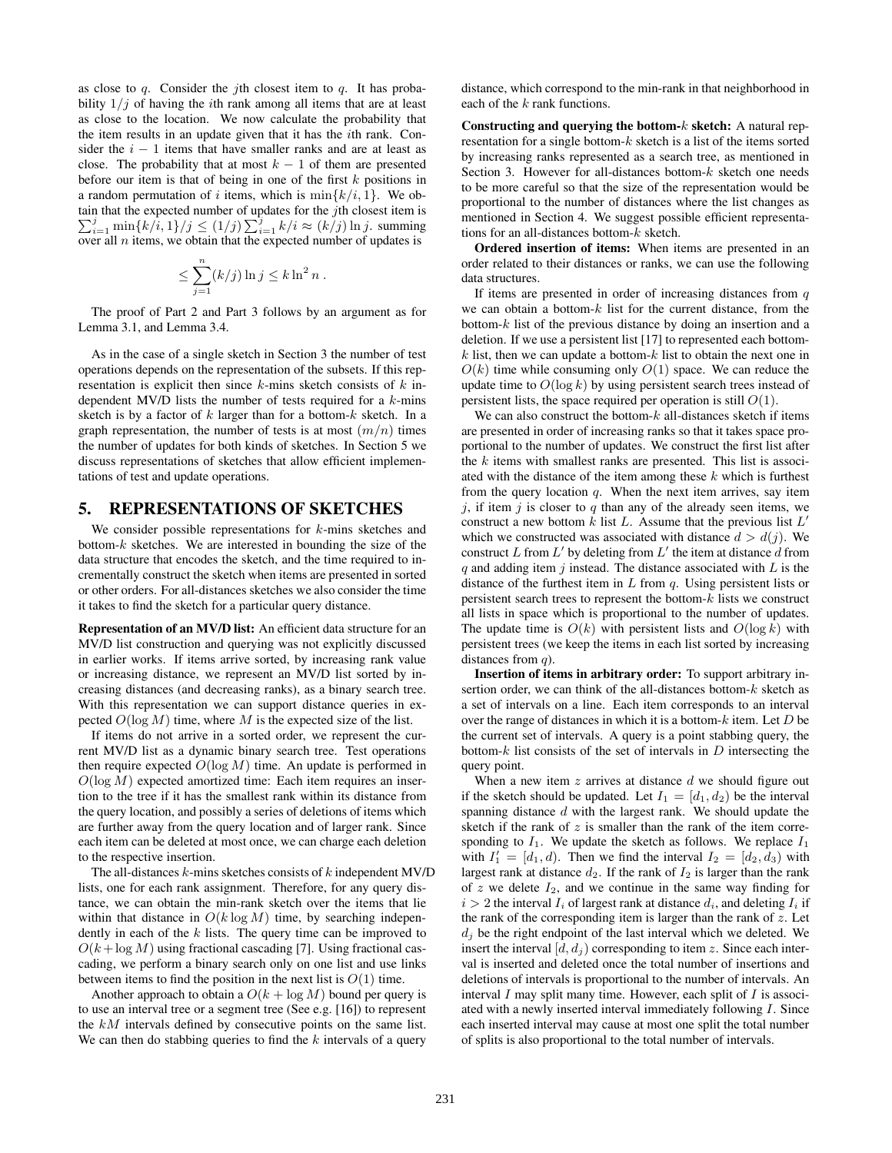as close to  $q$ . Consider the jth closest item to  $q$ . It has probability  $1/i$  of having the *i*th rank among all items that are at least as close to the location. We now calculate the probability that the item results in an update given that it has the ith rank. Consider the  $i - 1$  items that have smaller ranks and are at least as close. The probability that at most  $k - 1$  of them are presented before our item is that of being in one of the first  $k$  positions in a random permutation of i items, which is  $\min\{k/i, 1\}$ . We obtain that the expected number of updates for the jth closest item is  $\sum_{i=1}^{j} \min\{k/i, 1\}/j \leq (1/j) \sum_{i=1}^{j} k/i \approx (k/j) \ln j$ . summing over all *n* items, we obtain that the expected number of updates is

$$
\leq \sum_{j=1}^n (k/j) \ln j \leq k \ln^2 n .
$$

The proof of Part 2 and Part 3 follows by an argument as for Lemma 3.1, and Lemma 3.4.

As in the case of a single sketch in Section 3 the number of test operations depends on the representation of the subsets. If this representation is explicit then since  $k$ -mins sketch consists of  $k$  independent MV/D lists the number of tests required for a  $k$ -mins sketch is by a factor of  $k$  larger than for a bottom- $k$  sketch. In a graph representation, the number of tests is at most  $(m/n)$  times the number of updates for both kinds of sketches. In Section 5 we discuss representations of sketches that allow efficient implementations of test and update operations.

# **5. REPRESENTATIONS OF SKETCHES**

We consider possible representations for  $k$ -mins sketches and bottom- $k$  sketches. We are interested in bounding the size of the data structure that encodes the sketch, and the time required to incrementally construct the sketch when items are presented in sorted or other orders. For all-distances sketches we also consider the time it takes to find the sketch for a particular query distance.

**Representation of an MV/D list:** An efficient data structure for an MV/D list construction and querying was not explicitly discussed in earlier works. If items arrive sorted, by increasing rank value or increasing distance, we represent an MV/D list sorted by increasing distances (and decreasing ranks), as a binary search tree. With this representation we can support distance queries in expected  $O(\log M)$  time, where M is the expected size of the list.

If items do not arrive in a sorted order, we represent the current MV/D list as a dynamic binary search tree. Test operations then require expected  $O(\log M)$  time. An update is performed in  $O(\log M)$  expected amortized time: Each item requires an insertion to the tree if it has the smallest rank within its distance from the query location, and possibly a series of deletions of items which are further away from the query location and of larger rank. Since each item can be deleted at most once, we can charge each deletion to the respective insertion.

The all-distances  $k$ -mins sketches consists of  $k$  independent MV/D lists, one for each rank assignment. Therefore, for any query distance, we can obtain the min-rank sketch over the items that lie within that distance in  $O(k \log M)$  time, by searching independently in each of the  $k$  lists. The query time can be improved to  $O(k + \log M)$  using fractional cascading [7]. Using fractional cascading, we perform a binary search only on one list and use links between items to find the position in the next list is  $O(1)$  time.

Another approach to obtain a  $O(k + \log M)$  bound per query is to use an interval tree or a segment tree (See e.g. [16]) to represent the  $k$ M intervals defined by consecutive points on the same list. We can then do stabbing queries to find the  $k$  intervals of a query

distance, which correspond to the min-rank in that neighborhood in each of the k rank functions.

**Constructing and querying the bottom-**k **sketch:** A natural representation for a single bottom- $k$  sketch is a list of the items sorted by increasing ranks represented as a search tree, as mentioned in Section 3. However for all-distances bottom- $k$  sketch one needs to be more careful so that the size of the representation would be proportional to the number of distances where the list changes as mentioned in Section 4. We suggest possible efficient representations for an all-distances bottom-k sketch.

**Ordered insertion of items:** When items are presented in an order related to their distances or ranks, we can use the following data structures.

If items are presented in order of increasing distances from  $q$ we can obtain a bottom- $k$  list for the current distance, from the bottom- $k$  list of the previous distance by doing an insertion and a deletion. If we use a persistent list [17] to represented each bottom $k$  list, then we can update a bottom- $k$  list to obtain the next one in  $O(k)$  time while consuming only  $O(1)$  space. We can reduce the update time to  $O(\log k)$  by using persistent search trees instead of persistent lists, the space required per operation is still  $O(1)$ .

We can also construct the bottom- $k$  all-distances sketch if items are presented in order of increasing ranks so that it takes space proportional to the number of updates. We construct the first list after the  $k$  items with smallest ranks are presented. This list is associated with the distance of the item among these  $k$  which is furthest from the query location  $q$ . When the next item arrives, say item  $i$ , if item  $j$  is closer to  $q$  than any of the already seen items, we construct a new bottom  $\overline{k}$  list  $L$ . Assume that the previous list  $L'$ which we constructed was associated with distance  $d > d(j)$ . We construct L from  $L'$  by deleting from  $L'$  the item at distance d from  $q$  and adding item  $j$  instead. The distance associated with  $L$  is the distance of the furthest item in  $L$  from  $q$ . Using persistent lists or persistent search trees to represent the bottom- $k$  lists we construct all lists in space which is proportional to the number of updates. The update time is  $O(k)$  with persistent lists and  $O(\log k)$  with persistent trees (we keep the items in each list sorted by increasing distances from  $q$ ).

**Insertion of items in arbitrary order:** To support arbitrary insertion order, we can think of the all-distances bottom- $k$  sketch as a set of intervals on a line. Each item corresponds to an interval over the range of distances in which it is a bottom- $k$  item. Let  $D$  be the current set of intervals. A query is a point stabbing query, the bottom- $k$  list consists of the set of intervals in  $D$  intersecting the query point.

When a new item  $z$  arrives at distance  $d$  we should figure out if the sketch should be updated. Let  $I_1 = [d_1, d_2)$  be the interval spanning distance d with the largest rank. We should update the sketch if the rank of  $z$  is smaller than the rank of the item corresponding to  $I_1$ . We update the sketch as follows. We replace  $I_1$ with  $I_1' = [d_1, d)$ . Then we find the interval  $I_2 = [d_2, d_3)$  with largest rank at distance  $d_2$ . If the rank of  $I_2$  is larger than the rank of  $z$  we delete  $I_2$ , and we continue in the same way finding for  $i > 2$  the interval  $I_i$  of largest rank at distance  $d_i$ , and deleting  $I_i$  if the rank of the corresponding item is larger than the rank of  $z$ . Let  $d_i$  be the right endpoint of the last interval which we deleted. We insert the interval  $[d, d_i)$  corresponding to item z. Since each interval is inserted and deleted once the total number of insertions and deletions of intervals is proportional to the number of intervals. An interval  $I$  may split many time. However, each split of  $I$  is associated with a newly inserted interval immediately following I. Since each inserted interval may cause at most one split the total number of splits is also proportional to the total number of intervals.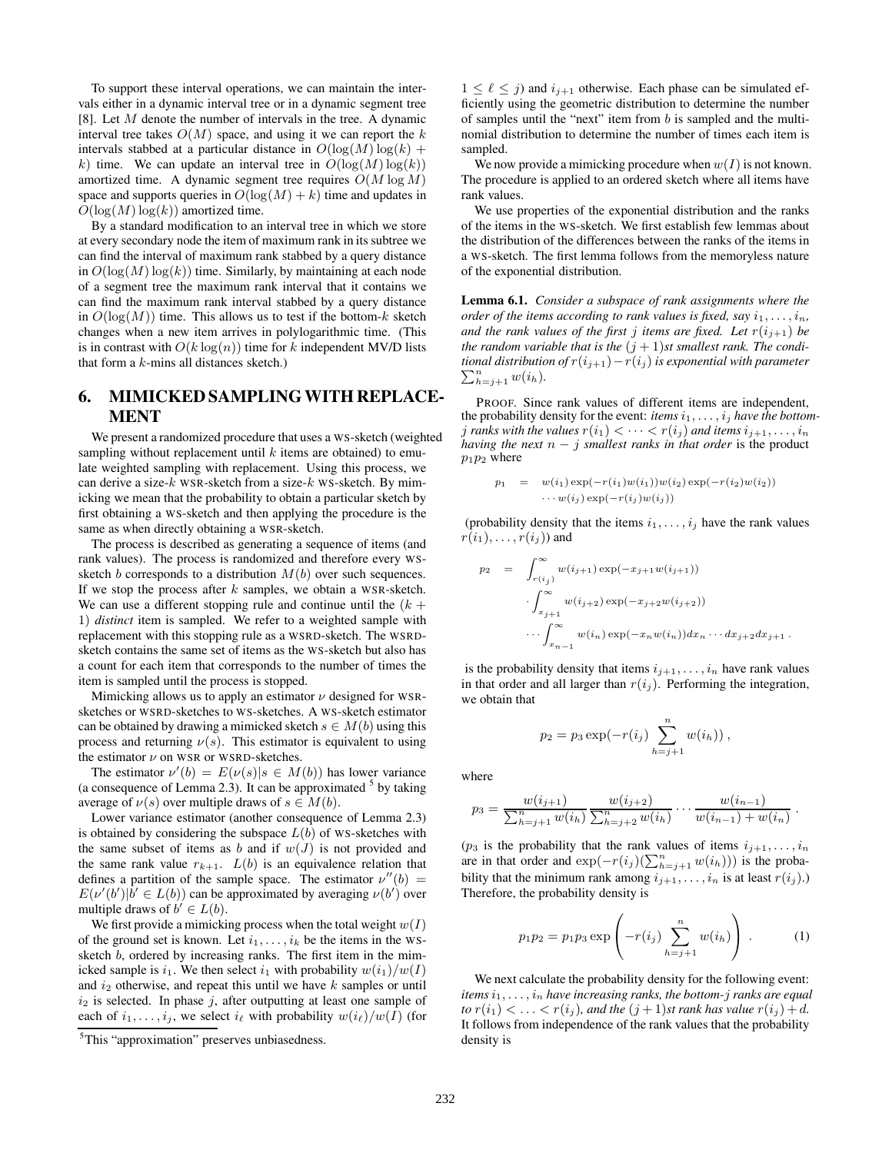To support these interval operations, we can maintain the intervals either in a dynamic interval tree or in a dynamic segment tree [8]. Let  $M$  denote the number of intervals in the tree. A dynamic interval tree takes  $O(M)$  space, and using it we can report the k intervals stabbed at a particular distance in  $O(\log(M) \log(k) +$ k) time. We can update an interval tree in  $O(log(M)log(k))$ amortized time. A dynamic segment tree requires  $O(M \log M)$ space and supports queries in  $O(\log(M) + k)$  time and updates in  $O(\log(M) \log(k))$  amortized time.

By a standard modification to an interval tree in which we store at every secondary node the item of maximum rank in its subtree we can find the interval of maximum rank stabbed by a query distance in  $O(\log(M) \log(k))$  time. Similarly, by maintaining at each node of a segment tree the maximum rank interval that it contains we can find the maximum rank interval stabbed by a query distance in  $O(log(M))$  time. This allows us to test if the bottom-k sketch changes when a new item arrives in polylogarithmic time. (This is in contrast with  $O(k \log(n))$  time for k independent MV/D lists that form a  $k$ -mins all distances sketch.)

# **6. MIMICKED SAMPLINGWITHREPLACE-MENT**

We present a randomized procedure that uses a WS-sketch (weighted sampling without replacement until  $k$  items are obtained) to emulate weighted sampling with replacement. Using this process, we can derive a size-k WSR-sketch from a size-k WS-sketch. By mimicking we mean that the probability to obtain a particular sketch by first obtaining a WS-sketch and then applying the procedure is the same as when directly obtaining a WSR-sketch.

The process is described as generating a sequence of items (and rank values). The process is randomized and therefore every WSsketch *b* corresponds to a distribution  $M(b)$  over such sequences. If we stop the process after  $k$  samples, we obtain a WSR-sketch. We can use a different stopping rule and continue until the  $(k +$ 1) *distinct* item is sampled. We refer to a weighted sample with replacement with this stopping rule as a WSRD-sketch. The WSRDsketch contains the same set of items as the WS-sketch but also has a count for each item that corresponds to the number of times the item is sampled until the process is stopped.

Mimicking allows us to apply an estimator  $\nu$  designed for WSRsketches or WSRD-sketches to WS-sketches. A WS-sketch estimator can be obtained by drawing a mimicked sketch  $s \in M(b)$  using this process and returning  $\nu(s)$ . This estimator is equivalent to using the estimator  $\nu$  on WSR or WSRD-sketches.

The estimator  $\nu'(b) = E(\nu(s)|s \in M(b))$  has lower variance (a consequence of Lemma 2.3). It can be approximated  $5$  by taking average of  $\nu(s)$  over multiple draws of  $s \in M(b)$ .

Lower variance estimator (another consequence of Lemma 2.3) is obtained by considering the subspace  $L(b)$  of WS-sketches with the same subset of items as b and if  $w(J)$  is not provided and the same rank value  $r_{k+1}$ .  $L(b)$  is an equivalence relation that defines a partition of the sample space. The estimator  $v''(b) =$  $E(\nu'(b')|b' \in L(b))$  can be approximated by averaging  $\nu(b')$  over multiple draws of  $b' \in L(b)$ .

We first provide a mimicking process when the total weight  $w(I)$ of the ground set is known. Let  $i_1, \ldots, i_k$  be the items in the WSsketch b, ordered by increasing ranks. The first item in the mimicked sample is  $i_1$ . We then select  $i_1$  with probability  $w(i_1)/w(I)$ and  $i_2$  otherwise, and repeat this until we have  $k$  samples or until  $i_2$  is selected. In phase j, after outputting at least one sample of each of  $i_1, \ldots, i_j$ , we select  $i_\ell$  with probability  $w(i_\ell)/w(I)$  (for  $1 \leq \ell \leq j$ ) and  $i_{j+1}$  otherwise. Each phase can be simulated efficiently using the geometric distribution to determine the number of samples until the "next" item from b is sampled and the multinomial distribution to determine the number of times each item is sampled.

We now provide a mimicking procedure when  $w(I)$  is not known. The procedure is applied to an ordered sketch where all items have rank values.

We use properties of the exponential distribution and the ranks of the items in the WS-sketch. We first establish few lemmas about the distribution of the differences between the ranks of the items in a WS-sketch. The first lemma follows from the memoryless nature of the exponential distribution.

**Lemma 6.1.** *Consider a subspace of rank assignments where the order of the items according to rank values is fixed, say*  $i_1, \ldots, i_n$ *, and* the rank values of the first *j* items are fixed. Let  $r(i_{i+1})$  be *the random variable that is the*  $(j + 1)$ *st smallest rank. The condi-* $\sum_{h=j+1}^{n} w(i_h)$ . *tional distribution of*  $r(i_{i+1}) - r(i_i)$  *is exponential with parameter* 

PROOF. Since rank values of different items are independent, the probability density for the event: *items*  $i_1, \ldots, i_j$  *have the bottomj* ranks with the values  $r(i_1) < \cdots < r(i_j)$  and items  $i_{j+1}, \ldots, i_n$ *having the next*  $n - j$  *smallest ranks in that order* is the product  $p_1p_2$  where

$$
p_1 = w(i_1) \exp(-r(i_1)w(i_1))w(i_2) \exp(-r(i_2)w(i_2))
$$
  
... 
$$
w(i_j) \exp(-r(i_j)w(i_j))
$$

(probability density that the items  $i_1, \ldots, i_j$  have the rank values  $r(i_1), \ldots, r(i_j)$  and

$$
p_2 = \int_{r(i_j)}^{\infty} w(i_{j+1}) \exp(-x_{j+1}w(i_{j+1}))
$$
  

$$
\cdot \int_{x_{j+1}}^{\infty} w(i_{j+2}) \exp(-x_{j+2}w(i_{j+2}))
$$
  

$$
\cdot \cdot \int_{x_{n-1}}^{\infty} w(i_n) \exp(-x_n w(i_n)) dx_n \cdot \cdot \cdot dx_{j+2} dx_{j+1}.
$$

is the probability density that items  $i_{j+1}, \ldots, i_n$  have rank values in that order and all larger than  $r(i_j)$ . Performing the integration, we obtain that

$$
p_2 = p_3 \exp(-r(i_j) \sum_{h=j+1}^{n} w(i_h)),
$$

where

$$
p_3 = \frac{w(i_{j+1})}{\sum_{h=j+1}^n w(i_h)} \frac{w(i_{j+2})}{\sum_{h=j+2}^n w(i_h)} \cdots \frac{w(i_{n-1})}{w(i_{n-1}) + w(i_n)}
$$

( $p_3$  is the probability that the rank values of items  $i_{j+1}, \ldots, i_n$ ) are in that order and  $\exp(-r(i_j)(\sum_{h=j+1}^n w(i_h)))$  is the probability that the minimum rank among  $i_{j+1}, \ldots, i_n$  is at least  $r(i_j)$ .) Therefore, the probability density is

$$
p_1 p_2 = p_1 p_3 \exp\left(-r(i_j) \sum_{h=j+1}^n w(i_h)\right) . \tag{1}
$$

.

We next calculate the probability density for the following event: *items*  $i_1, \ldots, i_n$  *have increasing ranks, the bottom-j ranks are equal to*  $r(i_1) < \ldots < r(i_j)$ *, and the*  $(j+1)$ *st rank has value*  $r(i_j) + d$ *.* It follows from independence of the rank values that the probability density is

<sup>5</sup>This "approximation" preserves unbiasedness.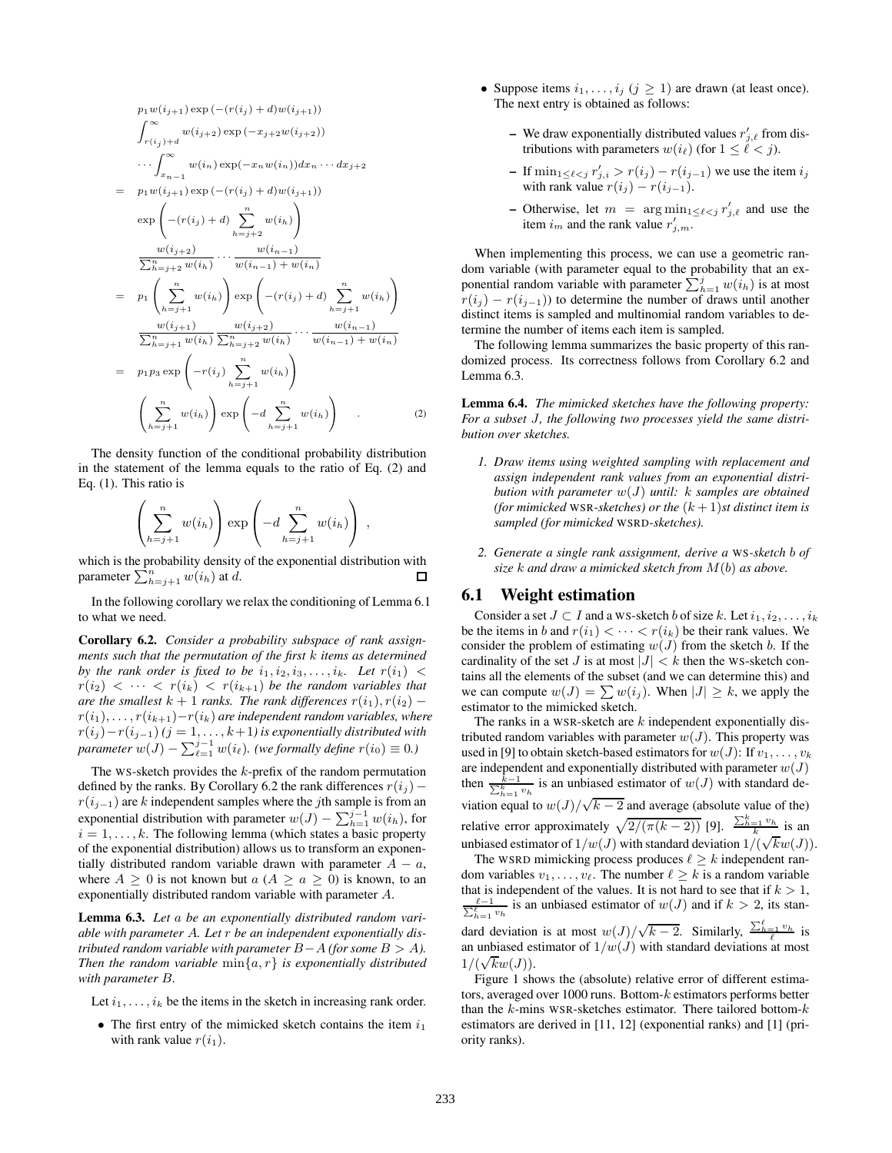$$
p_1 w(i_{j+1}) \exp(-r(i_j) + d) w(i_{j+1}))
$$
\n
$$
\int_{r(i_j)+d}^{\infty} w(i_{j+2}) \exp(-x_{j+2} w(i_{j+2}))
$$
\n
$$
\cdots \int_{x_{n-1}}^{\infty} w(i_n) \exp(-x_n w(i_n)) dx_n \cdots dx_{j+2}
$$
\n
$$
= p_1 w(i_{j+1}) \exp(-(r(i_j) + d) w(i_{j+1}))
$$
\n
$$
\exp\left(-(r(i_j) + d) \sum_{h=j+2}^{n} w(i_h)\right)
$$
\n
$$
\frac{w(i_{j+2})}{\sum_{h=j+2}^{n} w(i_h)} \cdots \frac{w(i_{n-1})}{w(i_{n-1}) + w(i_n)}
$$
\n
$$
= p_1 \left(\sum_{h=j+1}^{n} w(i_h)\right) \exp\left(-(r(i_j) + d) \sum_{h=j+1}^{n} w(i_h)\right)
$$
\n
$$
\frac{w(i_{j+1})}{\sum_{h=j+1}^{n} w(i_h)} \frac{w(i_{j+2})}{\sum_{h=j+2}^{n} w(i_h)} \cdots \frac{w(i_{n-1})}{w(i_{n-1}) + w(i_n)}
$$
\n
$$
= p_1 p_3 \exp\left(-r(i_j) \sum_{h=j+1}^{n} w(i_h)\right)
$$
\n
$$
\left(\sum_{h=j+1}^{n} w(i_h)\right) \exp\left(-d \sum_{h=j+1}^{n} w(i_h)\right)
$$
\n(2)

The density function of the conditional probability distribution in the statement of the lemma equals to the ratio of Eq. (2) and Eq. (1). This ratio is

$$
\left(\sum_{h=j+1}^n w(i_h)\right) \exp\left(-d \sum_{h=j+1}^n w(i_h)\right) ,
$$

which is the probability density of the exponential distribution with parameter  $\sum_{h=j+1}^{n} w(i_h)$  at d.  $\Box$ 

In the following corollary we relax the conditioning of Lemma 6.1 to what we need.

**Corollary 6.2.** *Consider a probability subspace of rank assignments such that the permutation of the first* k *items as determined by the rank order is fixed to be*  $i_1, i_2, i_3, \ldots, i_k$ *. Let*  $r(i_1)$  <  $r(i_2) < \cdots < r(i_k) < r(i_{k+1})$  be the random variables that *are* the smallest  $k + 1$  *ranks. The rank differences*  $r(i_1)$ ,  $r(i_2)$  –  $r(i_1), \ldots, r(i_{k+1})-r(i_k)$  are independent random variables, where  $r(i_j) - r(i_{j-1})$  ( $j = 1, \ldots, k+1$ ) is exponentially distributed with *parameter*  $w(J) - \sum_{\ell=1}^{j-1} w(i_{\ell})$ *.* (we formally define  $r(i_0) \equiv 0$ *.)* 

The WS-sketch provides the  $k$ -prefix of the random permutation defined by the ranks. By Corollary 6.2 the rank differences  $r(i_j)$  –  $r(i_{j-1})$  are k independent samples where the jth sample is from an exponential distribution with parameter  $w(J) - \sum_{h=1}^{j-1} w(i_h)$ , for  $i = 1, \ldots, k$ . The following lemma (which states a basic property of the exponential distribution) allows us to transform an exponentially distributed random variable drawn with parameter  $A - a$ , where  $A \geq 0$  is not known but  $a (A \geq a \geq 0)$  is known, to an exponentially distributed random variable with parameter A.

**Lemma 6.3.** *Let* a *be an exponentially distributed random variable with parameter* A*. Let* r *be an independent exponentially distributed random variable with parameter*  $B - A$  *(for some*  $B > A$ ). *Then the random variable*  $\min\{a, r\}$  *is exponentially distributed with parameter* B*.*

Let  $i_1, \ldots, i_k$  be the items in the sketch in increasing rank order.

• The first entry of the mimicked sketch contains the item  $i_1$ with rank value  $r(i_1)$ .

- Suppose items  $i_1, \ldots, i_j$   $(j \geq 1)$  are drawn (at least once). The next entry is obtained as follows:
	- We draw exponentially distributed values  $r'_{j,\ell}$  from distributions with parameters  $w(i_\ell)$  (for  $1 \leq \ell \leq j$ ).
	- **–** If  $\min_{1 \leq \ell < j} r'_{j,i} > r(i_j) r(i_{j-1})$  we use the item  $i_j$ with rank value  $r(i_j) - r(i_{j-1}).$
	- **–** Otherwise, let  $m = \arg \min_{1 \leq \ell < j} r'_{j,\ell}$  and use the item  $i_m$  and the rank value  $r'_{j,m}$ .

When implementing this process, we can use a geometric random variable (with parameter equal to the probability that an exponential random variable with parameter  $\sum_{h=1}^{j} w(i_h)$  is at most  $r(i_j) - r(i_{j-1})$  to determine the number of draws until another distinct items is sampled and multinomial random variables to determine the number of items each item is sampled.

The following lemma summarizes the basic property of this randomized process. Its correctness follows from Corollary 6.2 and Lemma 6.3.

**Lemma 6.4.** *The mimicked sketches have the following property: For a subset* J*, the following two processes yield the same distribution over sketches.*

- *1. Draw items using weighted sampling with replacement and assign independent rank values from an exponential distribution with parameter* w(J) *until:* k *samples are obtained (for mimicked WSR-sketches) or the*  $(k+1)$ *st distinct item is sampled (for mimicked* WSRD*-sketches).*
- *2. Generate a single rank assignment, derive a* WS*-sketch* b *of size* k *and draw a mimicked sketch from* M(b) *as above.*

### **6.1 Weight estimation**

Consider a set  $J \subset I$  and a WS-sketch b of size k. Let  $i_1, i_2, \ldots, i_k$ be the items in b and  $r(i_1) < \cdots < r(i_k)$  be their rank values. We consider the problem of estimating  $w(J)$  from the sketch b. If the cardinality of the set J is at most  $|J| < k$  then the WS-sketch contains all the elements of the subset (and we can determine this) and we can compute  $w(J) = \sum w(i_j)$ . When  $|J| \geq k$ , we apply the estimator to the mimicked sketch.

The ranks in a WSR-sketch are  $k$  independent exponentially distributed random variables with parameter  $w(J)$ . This property was used in [9] to obtain sketch-based estimators for  $w(J)$ : If  $v_1, \ldots, v_k$ are independent and exponentially distributed with parameter  $w(J)$ then  $\frac{k-1}{\sum_{h=1}^{k} v_h}$  is an unbiased estimator of  $w(J)$  with standard deviation equal to  $w(J)/\sqrt{k-2}$  and average (absolute value of the) relative error approximately  $\sqrt{2/(\pi(k-2))}$  [9].  $\frac{\sum_{h=1}^{k} v_h}{k}$  is an unbiased estimator of  $1/w(J)$  with standard deviation  $1/(\sqrt{k}w(J))$ .

The WSRD mimicking process produces  $\ell \geq k$  independent random variables  $v_1, \ldots, v_\ell$ . The number  $\ell \geq k$  is a random variable that is independent of the values. It is not hard to see that if  $k > 1$ ,  $\frac{\ell-1}{\sum_{k=1}^{\ell} v_k}$  is an unbiased estimator of  $w(J)$  and if  $k > 2$ , its standard deviation is at most  $w(J)/\sqrt{k-2}$ . Similarly,  $\frac{\sum_{h=1}^{l} v_h}{\ell}$  is and deviation is at most  $\omega(y)/\sqrt{n} = 2$ . Similarly,  $\ell$  is an unbiased estimator of  $1/w(J)$  with standard deviations at most  $1/(\sqrt{k}w(J)).$ 

Figure 1 shows the (absolute) relative error of different estimators, averaged over 1000 runs. Bottom-k estimators performs better than the  $k$ -mins WSR-sketches estimator. There tailored bottom- $k$ estimators are derived in [11, 12] (exponential ranks) and [1] (priority ranks).